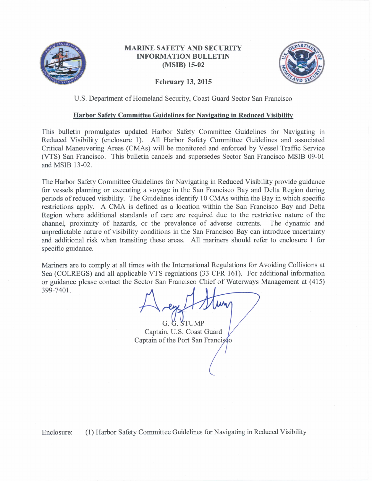

### **MARINE SAFETY AND SECURITY INFORMATION BULLETIN** (MSIB) 15-02



#### **February 13, 2015**

#### U.S. Department of Homeland Security, Coast Guard Sector San Francisco

#### Harbor Safety Committee Guidelines for Navigating in Reduced Visibility

This bulletin promulgates updated Harbor Safety Committee Guidelines for Navigating in Reduced Visibility (enclosure 1). All Harbor Safety Committee Guidelines and associated Critical Maneuvering Areas (CMAs) will be monitored and enforced by Vessel Traffic Service (VTS) San Francisco. This bulletin cancels and supersedes Sector San Francisco MSIB 09-01 and MSIB 13-02.

The Harbor Safety Committee Guidelines for Navigating in Reduced Visibility provide guidance for vessels planning or executing a voyage in the San Francisco Bay and Delta Region during periods of reduced visibility. The Guidelines identify 10 CMAs within the Bay in which specific restrictions apply. A CMA is defined as a location within the San Francisco Bay and Delta Region where additional standards of care are required due to the restrictive nature of the channel, proximity of hazards, or the prevalence of adverse currents. The dynamic and unpredictable nature of visibility conditions in the San Francisco Bay can introduce uncertainty and additional risk when transiting these areas. All mariners should refer to enclosure 1 for specific guidance.

Mariners are to comply at all times with the International Regulations for Avoiding Collisions at Sea (COLREGS) and all applicable VTS regulations (33 CFR 161). For additional information or guidance please contact the Sector San Francisco Chief of Waterways Management at (415) 399-7401.

G. G. STUMP Captain, U.S. Coast Guard Captain of the Port San Francisco

(1) Harbor Safety Committee Guidelines for Navigating in Reduced Visibility Enclosure: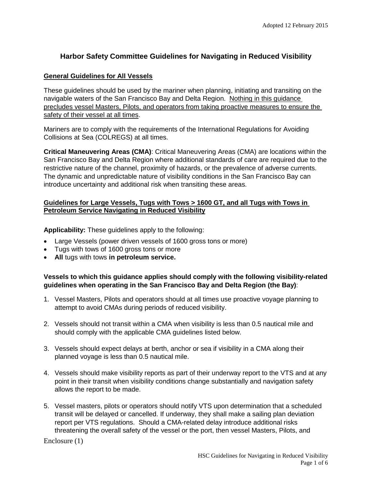# **Harbor Safety Committee Guidelines for Navigating in Reduced Visibility**

### **General Guidelines for All Vessels**

These guidelines should be used by the mariner when planning, initiating and transiting on the navigable waters of the San Francisco Bay and Delta Region. Nothing in this guidance precludes vessel Masters, Pilots, and operators from taking proactive measures to ensure the safety of their vessel at all times.

Mariners are to comply with the requirements of the International Regulations for Avoiding Collisions at Sea (COLREGS) at all times.

**Critical Maneuvering Areas (CMA)**: Critical Maneuvering Areas (CMA) are locations within the San Francisco Bay and Delta Region where additional standards of care are required due to the restrictive nature of the channel, proximity of hazards, or the prevalence of adverse currents. The dynamic and unpredictable nature of visibility conditions in the San Francisco Bay can introduce uncertainty and additional risk when transiting these areas.

### **Guidelines for Large Vessels, Tugs with Tows > 1600 GT, and all Tugs with Tows in Petroleum Service Navigating in Reduced Visibility**

**Applicability:** These guidelines apply to the following:

- Large Vessels (power driven vessels of 1600 gross tons or more)
- Tugs with tows of 1600 gross tons or more
- **All** tugs with tows **in petroleum service.**

### **Vessels to which this guidance applies should comply with the following visibility-related guidelines when operating in the San Francisco Bay and Delta Region (the Bay)**:

- 1. Vessel Masters, Pilots and operators should at all times use proactive voyage planning to attempt to avoid CMAs during periods of reduced visibility.
- 2. Vessels should not transit within a CMA when visibility is less than 0.5 nautical mile and should comply with the applicable CMA guidelines listed below.
- 3. Vessels should expect delays at berth, anchor or sea if visibility in a CMA along their planned voyage is less than 0.5 nautical mile.
- 4. Vessels should make visibility reports as part of their underway report to the VTS and at any point in their transit when visibility conditions change substantially and navigation safety allows the report to be made.
- 5. Vessel masters, pilots or operators should notify VTS upon determination that a scheduled transit will be delayed or cancelled. If underway, they shall make a sailing plan deviation report per VTS regulations. Should a CMA-related delay introduce additional risks threatening the overall safety of the vessel or the port, then vessel Masters, Pilots, and

Enclosure (1)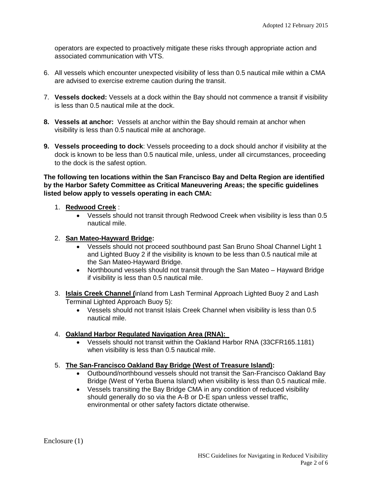operators are expected to proactively mitigate these risks through appropriate action and associated communication with VTS.

- 6. All vessels which encounter unexpected visibility of less than 0.5 nautical mile within a CMA are advised to exercise extreme caution during the transit.
- 7. **Vessels docked:** Vessels at a dock within the Bay should not commence a transit if visibility is less than 0.5 nautical mile at the dock.
- **8. Vessels at anchor:** Vessels at anchor within the Bay should remain at anchor when visibility is less than 0.5 nautical mile at anchorage.
- **9. Vessels proceeding to dock**: Vessels proceeding to a dock should anchor if visibility at the dock is known to be less than 0.5 nautical mile, unless, under all circumstances, proceeding to the dock is the safest option.

**The following ten locations within the San Francisco Bay and Delta Region are identified by the Harbor Safety Committee as Critical Maneuvering Areas; the specific guidelines listed below apply to vessels operating in each CMA:** 

### 1. **Redwood Creek** :

• Vessels should not transit through Redwood Creek when visibility is less than 0.5 nautical mile.

#### 2. **San Mateo-Hayward Bridge:**

- Vessels should not proceed southbound past San Bruno Shoal Channel Light 1 and Lighted Buoy 2 if the visibility is known to be less than 0.5 nautical mile at the San Mateo-Hayward Bridge.
- Northbound vessels should not transit through the San Mateo Hayward Bridge if visibility is less than 0.5 nautical mile.
- 3. **Islais Creek Channel (**inland from Lash Terminal Approach Lighted Buoy 2 and Lash Terminal Lighted Approach Buoy 5):
	- Vessels should not transit Islais Creek Channel when visibility is less than 0.5 nautical mile.

### 4. **Oakland Harbor Regulated Navigation Area (RNA):**

• Vessels should not transit within the Oakland Harbor RNA (33CFR165.1181) when visibility is less than 0.5 nautical mile.

### 5. **The San-Francisco Oakland Bay Bridge (West of Treasure Island):**

- Outbound/northbound vessels should not transit the San-Francisco Oakland Bay Bridge (West of Yerba Buena Island) when visibility is less than 0.5 nautical mile.
- Vessels transiting the Bay Bridge CMA in any condition of reduced visibility should generally do so via the A-B or D-E span unless vessel traffic, environmental or other safety factors dictate otherwise.

Enclosure (1)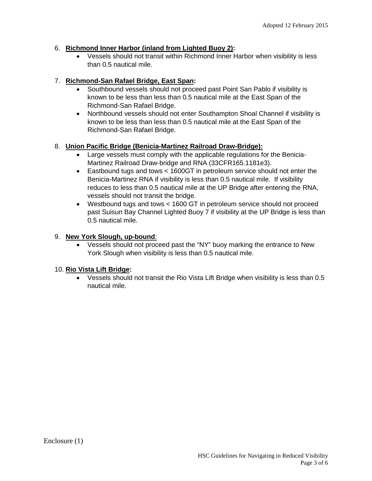## 6. **Richmond Inner Harbor (inland from Lighted Buoy 2):**

• Vessels should not transit within Richmond Inner Harbor when visibility is less than 0.5 nautical mile.

## 7. **Richmond-San Rafael Bridge, East Span:**

- Southbound vessels should not proceed past Point San Pablo if visibility is known to be less than less than 0.5 nautical mile at the East Span of the Richmond-San Rafael Bridge.
- Northbound vessels should not enter Southampton Shoal Channel if visibility is known to be less than less than 0.5 nautical mile at the East Span of the Richmond-San Rafael Bridge.

## 8. **Union Pacific Bridge (Benicia-Martinez Railroad Draw-Bridge):**

- Large vessels must comply with the applicable regulations for the Benicia-Martinez Railroad Draw-bridge and RNA (33CFR165.1181e3).
- Eastbound tugs and tows < 1600GT in petroleum service should not enter the Benicia-Martinez RNA if visibility is less than 0.5 nautical mile. If visibility reduces to less than 0.5 nautical mile at the UP Bridge after entering the RNA, vessels should not transit the bridge.
- Westbound tugs and tows < 1600 GT in petroleum service should not proceed past Suisun Bay Channel Lighted Buoy 7 if visibility at the UP Bridge is less than 0.5 nautical mile.

## 9. **New York Slough, up-bound**:

• Vessels should not proceed past the "NY" buoy marking the entrance to New York Slough when visibility is less than 0.5 nautical mile.

## 10. **Rio Vista Lift Bridge:**

• Vessels should not transit the Rio Vista Lift Bridge when visibility is less than 0.5 nautical mile.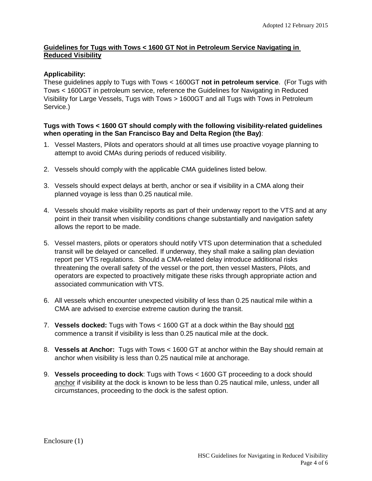### **Guidelines for Tugs with Tows < 1600 GT Not in Petroleum Service Navigating in Reduced Visibility**

## **Applicability:**

These guidelines apply to Tugs with Tows < 1600GT **not in petroleum service**. (For Tugs with Tows < 1600GT in petroleum service, reference the Guidelines for Navigating in Reduced Visibility for Large Vessels, Tugs with Tows > 1600GT and all Tugs with Tows in Petroleum Service.)

### **Tugs with Tows < 1600 GT should comply with the following visibility-related guidelines when operating in the San Francisco Bay and Delta Region (the Bay)**:

- 1. Vessel Masters, Pilots and operators should at all times use proactive voyage planning to attempt to avoid CMAs during periods of reduced visibility.
- 2. Vessels should comply with the applicable CMA guidelines listed below.
- 3. Vessels should expect delays at berth, anchor or sea if visibility in a CMA along their planned voyage is less than 0.25 nautical mile.
- 4. Vessels should make visibility reports as part of their underway report to the VTS and at any point in their transit when visibility conditions change substantially and navigation safety allows the report to be made.
- 5. Vessel masters, pilots or operators should notify VTS upon determination that a scheduled transit will be delayed or cancelled. If underway, they shall make a sailing plan deviation report per VTS regulations. Should a CMA-related delay introduce additional risks threatening the overall safety of the vessel or the port, then vessel Masters, Pilots, and operators are expected to proactively mitigate these risks through appropriate action and associated communication with VTS.
- 6. All vessels which encounter unexpected visibility of less than 0.25 nautical mile within a CMA are advised to exercise extreme caution during the transit.
- 7. **Vessels docked:** Tugs with Tows < 1600 GT at a dock within the Bay should not commence a transit if visibility is less than 0.25 nautical mile at the dock.
- 8. **Vessels at Anchor:** Tugs with Tows < 1600 GT at anchor within the Bay should remain at anchor when visibility is less than 0.25 nautical mile at anchorage.
- 9. **Vessels proceeding to dock**: Tugs with Tows < 1600 GT proceeding to a dock should anchor if visibility at the dock is known to be less than 0.25 nautical mile, unless, under all circumstances, proceeding to the dock is the safest option.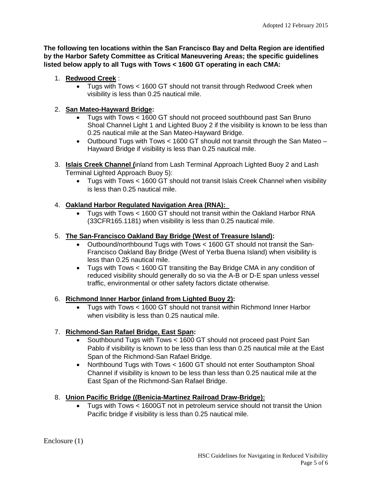**The following ten locations within the San Francisco Bay and Delta Region are identified by the Harbor Safety Committee as Critical Maneuvering Areas; the specific guidelines listed below apply to all Tugs with Tows < 1600 GT operating in each CMA:** 

## 1. **Redwood Creek** :

• Tugs with Tows < 1600 GT should not transit through Redwood Creek when visibility is less than 0.25 nautical mile.

# 2. **San Mateo-Hayward Bridge:**

- Tugs with Tows < 1600 GT should not proceed southbound past San Bruno Shoal Channel Light 1 and Lighted Buoy 2 if the visibility is known to be less than 0.25 nautical mile at the San Mateo-Hayward Bridge.
- Outbound Tugs with Tows < 1600 GT should not transit through the San Mateo Hayward Bridge if visibility is less than 0.25 nautical mile.
- 3. **Islais Creek Channel (**inland from Lash Terminal Approach Lighted Buoy 2 and Lash Terminal Lighted Approach Buoy 5):
	- Tugs with Tows < 1600 GT should not transit Islais Creek Channel when visibility is less than 0.25 nautical mile.

## 4. **Oakland Harbor Regulated Navigation Area (RNA):**

• Tugs with Tows < 1600 GT should not transit within the Oakland Harbor RNA (33CFR165.1181) when visibility is less than 0.25 nautical mile.

## 5. **The San-Francisco Oakland Bay Bridge (West of Treasure Island):**

- Outbound/northbound Tugs with Tows < 1600 GT should not transit the San-Francisco Oakland Bay Bridge (West of Yerba Buena Island) when visibility is less than 0.25 nautical mile.
- Tugs with Tows < 1600 GT transiting the Bay Bridge CMA in any condition of reduced visibility should generally do so via the A-B or D-E span unless vessel traffic, environmental or other safety factors dictate otherwise.

## 6. **Richmond Inner Harbor (inland from Lighted Buoy 2):**

• Tugs with Tows < 1600 GT should not transit within Richmond Inner Harbor when visibility is less than 0.25 nautical mile.

# 7. **Richmond-San Rafael Bridge, East Span:**

- Southbound Tugs with Tows < 1600 GT should not proceed past Point San Pablo if visibility is known to be less than less than 0.25 nautical mile at the East Span of the Richmond-San Rafael Bridge.
- Northbound Tugs with Tows < 1600 GT should not enter Southampton Shoal Channel if visibility is known to be less than less than 0.25 nautical mile at the East Span of the Richmond-San Rafael Bridge.

## 8. **Union Pacific Bridge ((Benicia-Martinez Railroad Draw-Bridge):**

• Tugs with Tows < 1600GT not in petroleum service should not transit the Union Pacific bridge if visibility is less than 0.25 nautical mile.

Enclosure (1)